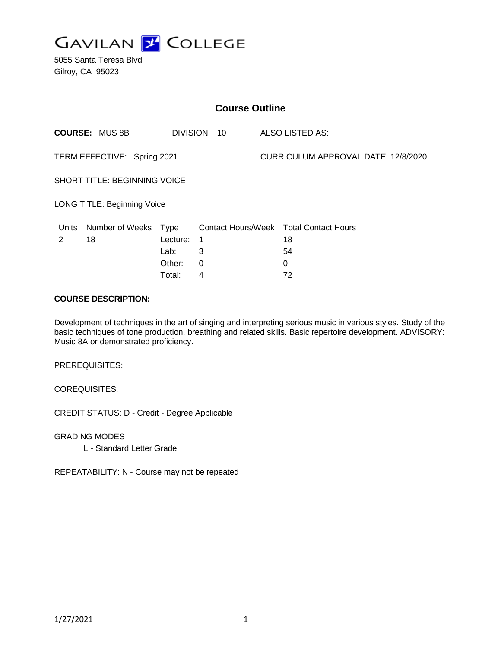

5055 Santa Teresa Blvd Gilroy, CA 95023

| <b>Course Outline</b>              |                        |             |              |                                     |                                               |
|------------------------------------|------------------------|-------------|--------------|-------------------------------------|-----------------------------------------------|
|                                    | <b>COURSE: MUS 8B</b>  |             | DIVISION: 10 |                                     | ALSO LISTED AS:                               |
| TERM EFFECTIVE: Spring 2021        |                        |             |              | CURRICULUM APPROVAL DATE: 12/8/2020 |                                               |
| SHORT TITLE: BEGINNING VOICE       |                        |             |              |                                     |                                               |
| <b>LONG TITLE: Beginning Voice</b> |                        |             |              |                                     |                                               |
| Units                              | <b>Number of Weeks</b> | <u>Type</u> |              |                                     | <b>Contact Hours/Week Total Contact Hours</b> |
| 2                                  | 18                     | Lecture:    | 1            |                                     | 18                                            |
|                                    |                        | Lab:        | 3            |                                     | 54                                            |
|                                    |                        | Other:      | 0            |                                     | $\Omega$                                      |
|                                    |                        | Total:      | 4            |                                     | 72                                            |

#### **COURSE DESCRIPTION:**

Development of techniques in the art of singing and interpreting serious music in various styles. Study of the basic techniques of tone production, breathing and related skills. Basic repertoire development. ADVISORY: Music 8A or demonstrated proficiency.

PREREQUISITES:

COREQUISITES:

CREDIT STATUS: D - Credit - Degree Applicable

GRADING MODES

L - Standard Letter Grade

REPEATABILITY: N - Course may not be repeated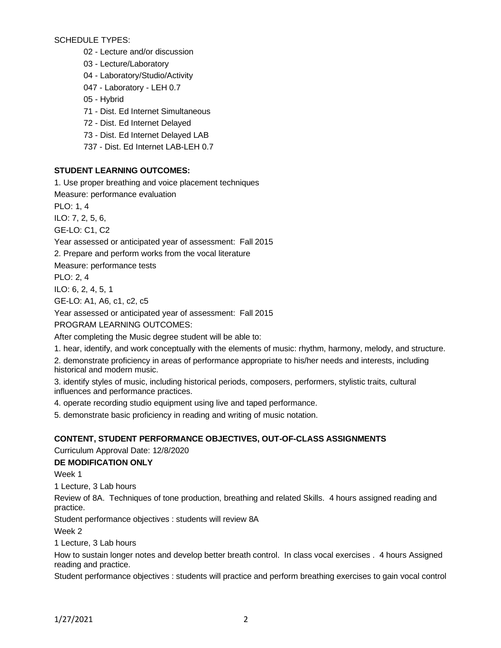SCHEDULE TYPES:

02 - Lecture and/or discussion

03 - Lecture/Laboratory

04 - Laboratory/Studio/Activity

047 - Laboratory - LEH 0.7

05 - Hybrid

71 - Dist. Ed Internet Simultaneous

72 - Dist. Ed Internet Delayed

73 - Dist. Ed Internet Delayed LAB

737 - Dist. Ed Internet LAB-LEH 0.7

## **STUDENT LEARNING OUTCOMES:**

1. Use proper breathing and voice placement techniques

Measure: performance evaluation

PLO: 1, 4

ILO: 7, 2, 5, 6,

GE-LO: C1, C2

Year assessed or anticipated year of assessment: Fall 2015

2. Prepare and perform works from the vocal literature

Measure: performance tests

PLO: 2, 4

ILO: 6, 2, 4, 5, 1

GE-LO: A1, A6, c1, c2, c5

Year assessed or anticipated year of assessment: Fall 2015

PROGRAM LEARNING OUTCOMES:

After completing the Music degree student will be able to:

1. hear, identify, and work conceptually with the elements of music: rhythm, harmony, melody, and structure.

2. demonstrate proficiency in areas of performance appropriate to his/her needs and interests, including historical and modern music.

3. identify styles of music, including historical periods, composers, performers, stylistic traits, cultural influences and performance practices.

4. operate recording studio equipment using live and taped performance.

5. demonstrate basic proficiency in reading and writing of music notation.

### **CONTENT, STUDENT PERFORMANCE OBJECTIVES, OUT-OF-CLASS ASSIGNMENTS**

Curriculum Approval Date: 12/8/2020

# **DE MODIFICATION ONLY**

Week 1

1 Lecture, 3 Lab hours

Review of 8A. Techniques of tone production, breathing and related Skills. 4 hours assigned reading and practice.

Student performance objectives : students will review 8A

Week 2

1 Lecture, 3 Lab hours

How to sustain longer notes and develop better breath control. In class vocal exercises . 4 hours Assigned reading and practice.

Student performance objectives : students will practice and perform breathing exercises to gain vocal control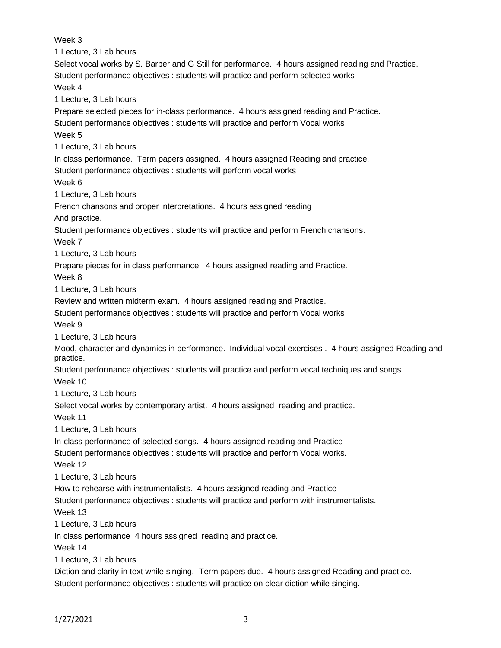Week 3 1 Lecture, 3 Lab hours Select vocal works by S. Barber and G Still for performance. 4 hours assigned reading and Practice. Student performance objectives : students will practice and perform selected works Week 4 1 Lecture, 3 Lab hours Prepare selected pieces for in-class performance. 4 hours assigned reading and Practice. Student performance objectives : students will practice and perform Vocal works Week 5 1 Lecture, 3 Lab hours In class performance. Term papers assigned. 4 hours assigned Reading and practice. Student performance objectives : students will perform vocal works Week 6 1 Lecture, 3 Lab hours French chansons and proper interpretations. 4 hours assigned reading And practice. Student performance objectives : students will practice and perform French chansons. Week 7 1 Lecture, 3 Lab hours Prepare pieces for in class performance. 4 hours assigned reading and Practice. Week 8 1 Lecture, 3 Lab hours Review and written midterm exam. 4 hours assigned reading and Practice. Student performance objectives : students will practice and perform Vocal works Week 9 1 Lecture, 3 Lab hours Mood, character and dynamics in performance. Individual vocal exercises . 4 hours assigned Reading and practice. Student performance objectives : students will practice and perform vocal techniques and songs Week 10 1 Lecture, 3 Lab hours Select vocal works by contemporary artist. 4 hours assigned reading and practice. Week 11 1 Lecture, 3 Lab hours In-class performance of selected songs. 4 hours assigned reading and Practice Student performance objectives : students will practice and perform Vocal works. Week 12 1 Lecture, 3 Lab hours How to rehearse with instrumentalists. 4 hours assigned reading and Practice Student performance objectives : students will practice and perform with instrumentalists. Week 13 1 Lecture, 3 Lab hours In class performance 4 hours assigned reading and practice. Week 14 1 Lecture, 3 Lab hours Diction and clarity in text while singing. Term papers due. 4 hours assigned Reading and practice. Student performance objectives : students will practice on clear diction while singing.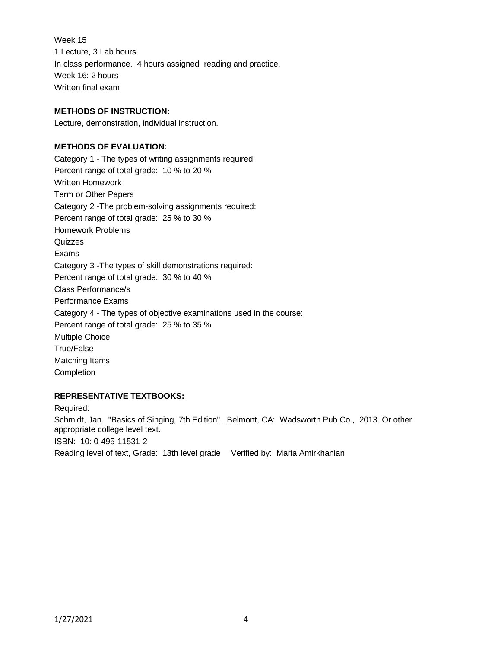Week 15 1 Lecture, 3 Lab hours In class performance. 4 hours assigned reading and practice. Week 16: 2 hours Written final exam

# **METHODS OF INSTRUCTION:**

Lecture, demonstration, individual instruction.

### **METHODS OF EVALUATION:**

Category 1 - The types of writing assignments required: Percent range of total grade: 10 % to 20 % Written Homework Term or Other Papers Category 2 -The problem-solving assignments required: Percent range of total grade: 25 % to 30 % Homework Problems **Quizzes** Exams Category 3 -The types of skill demonstrations required: Percent range of total grade: 30 % to 40 % Class Performance/s Performance Exams Category 4 - The types of objective examinations used in the course: Percent range of total grade: 25 % to 35 % Multiple Choice True/False Matching Items Completion

### **REPRESENTATIVE TEXTBOOKS:**

Required: Schmidt, Jan. "Basics of Singing, 7th Edition". Belmont, CA: Wadsworth Pub Co., 2013. Or other appropriate college level text. ISBN: 10: 0-495-11531-2 Reading level of text, Grade: 13th level grade Verified by: Maria Amirkhanian